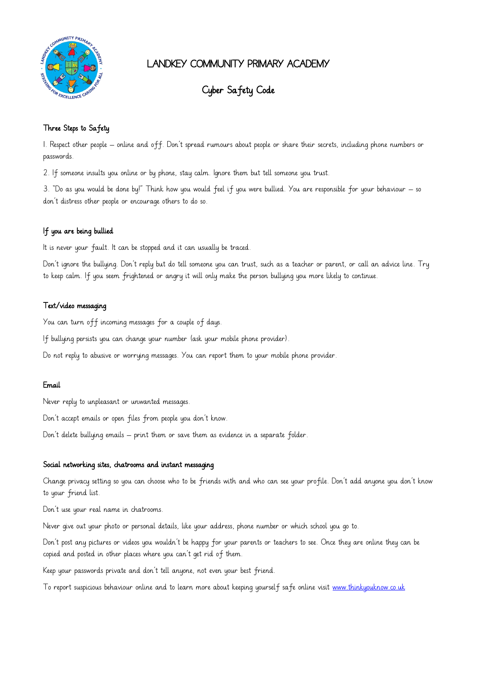

## LANDKEY COMMUNITY PRIMARY ACADEMY

# Cyber Safety Code

## Three Steps to Safety

1. Respect other people – online and off. Don't spread rumours about people or share their secrets, including phone numbers or passwords.

2. If someone insults you online or by phone, stay calm. Ignore them but tell someone you trust.

3. "Do as you would be done by!" Think how you would feel if you were bullied. You are responsible for your behaviour – so don't distress other people or encourage others to do so.

### If you are being bullied

It is never your fault. It can be stopped and it can usually be traced.

Don't ignore the bullying. Don't reply but do tell someone you can trust, such as a teacher or parent, or call an advice line. Try to keep calm. If you seem frightened or angry it will only make the person bullying you more likely to continue.

#### Text/video messaging

You can turn off incoming messages for a couple of days.

If bullying persists you can change your number (ask your mobile phone provider).

Do not reply to abusive or worrying messages. You can report them to your mobile phone provider.

#### Email

Never reply to unpleasant or unwanted messages.

Don't accept emails or open files from people you don't know.

Don't delete bullying emails – print them or save them as evidence in a separate folder.

#### Social networking sites, chatrooms and instant messaging

Change privacy setting so you can choose who to be friends with and who can see your profile. Don't add anyone you don't know to your friend list.

Don't use your real name in chatrooms.

Never give out your photo or personal details, like your address, phone number or which school you go to.

Don't post any pictures or videos you wouldn't be happy for your parents or teachers to see. Once they are online they can be copied and posted in other places where you can't get rid of them.

Keep your passwords private and don't tell anyone, not even your best friend.

To report suspicious behaviour online and to learn more about keeping yourself safe online visit [www.thinkyouknow.co.uk](http://www.thinkyouknow.co.uk/)